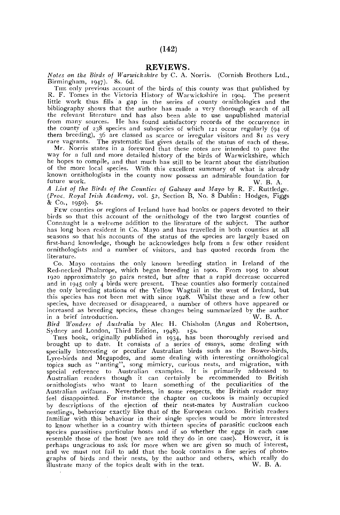## REVIEWS.

*Notes on the Birds of Warwickshire* by C. A. Norris. (Cornish Brothers Ltd., Birmingham, 1947). 8s. 6d.

THE only previous account of the birds of this county was that published by R. F. Tomes in the Victoria History of Warwickshire in 1904. The present little work thus fills a gap in the series of county ornithologies and the bibliography shows that the author has made a very thorough search of all the relevant literature and has also been able to use unpublished material from many sources. He has found satisfactory records of the occurrence in the county of 238 species and subspecies of which 121 occur regularly (94 of them breeding), 36 are classed as scarce or irregular visitors and 81 as very rare vagrants. The systematic list gives details of the status of each of these.

Mr. Norris states in a foreword that these notes are intended to pave the way for a full and more detailed history of the birds of Warwickshire, which he hopes to compile, and that much has still to be learnt about the distribution of the more local species. With this excellent summary of what is already known ornithologists in the county now possess an admirable foundation for future work. W. B. A.

future work. W. j}. A. *A List of the Birds of the Counties of Galway and Mayo* by R. F. Ruttledge. *(Proc. Royal Irish Academy,* vol. 52, Section B, No. 8 Dublin: Hodges, Figgs & Co., 1950). 5s.

FEW counties or regions of Ireland have had books or papers devoted to their birds so that this account of the ornithology of the two largest counties of Connaught is a welcome addition to the literature of the subject. The author has long been resident in Co. Mayo and has travelled in both counties at all seasons so that his accounts of the status of the species are largely based on first-hand knowledge, though he acknowledges help from a few other resident ornithologists and a number of visitors, and has quoted records from the literature.

Co. Mayo contains the only known breeding station in Ireland of the Red-necked Phalarope, which began breeding in 1900. From 1905 to about 1920 approximately 50 pairs nested, but after that a rapid decrease occurred and in 1945 only 4 birds were present. These counties also formerly contained the only breeding stations of the Yellow Wagtail in the west of Ireland, but this species has not been met with since 1928. Whilst these and a few other species, have decreased or disappeared, a number of others have appeared or increased as breeding species, these changes being summarized by the author in a brief introduction. in a brief introduction.

*Bird Wonders of Australia* by Alec H. Chisholm (Angus and Robertson, Sydney and London, Third Edition, 1948). 15s.

THIS book, originally published in 1934, has been thoroughly revised and brought up to date. It consists of a series of essays, some dealing with specially interesting or peculiar Australian birds such as the Bower-birds, Lyre-birds and Megapodes, and some dealing with interesting ornithological topics such as "anting", song mimicry, curious nests, and migration, with special reference to Australian examples. It is primarily addressed to Australian readers though it can certainly be recommended to British ornithologists who want to learn something of the peculiarities of the Australian avifauna. Nevertheless, in some respects, the British reader may feel disappointed. For instance the chapter on cuckoos is mainly occupied by descriptions of the ejection of their nest-mates by Australian cuckoo nestlings, behaviour exactly like that of the European cuckoo. British readers familiar with this behaviour in their single species would be more interested to know whether in a country with thirteen species of parasitic cuckoos each species parasitises particular hosts and if so whether the eggs in each case resemble those of the host (we are told they do in one case). However, it is perhaps ungracious to ask for more when we are given so much of interest, and we must not fail to add that the book contains a fine series of photographs of birds and their nests, by the author and others, which really do<br>illustrate many of the topics dealt with in the text. W. B. A. illustrate many of the topics dealt with in the text.